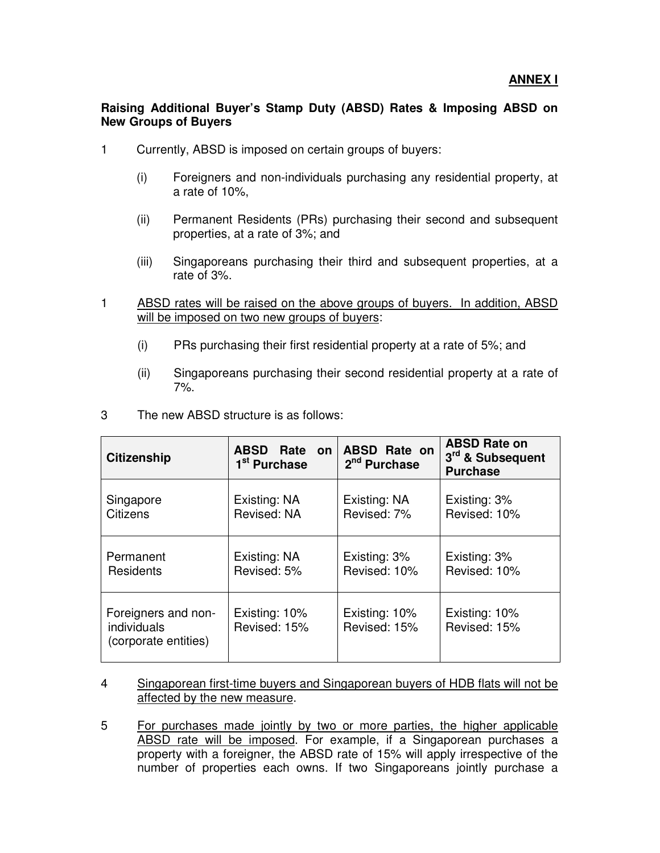## **Raising Additional Buyer's Stamp Duty (ABSD) Rates & Imposing ABSD on New Groups of Buyers**

- 1 Currently, ABSD is imposed on certain groups of buyers:
	- (i) Foreigners and non-individuals purchasing any residential property, at a rate of 10%,
	- (ii) Permanent Residents (PRs) purchasing their second and subsequent properties, at a rate of 3%; and
	- (iii) Singaporeans purchasing their third and subsequent properties, at a rate of 3%.
- 1 ABSD rates will be raised on the above groups of buyers. In addition, ABSD will be imposed on two new groups of buyers:
	- (i) PRs purchasing their first residential property at a rate of 5%; and
	- (ii) Singaporeans purchasing their second residential property at a rate of 7%.

| <b>Citizenship</b>                                         | ABSD Rate on<br>1 <sup>st</sup> Purchase | <b>ABSD Rate on</b><br>2 <sup>nd</sup> Purchase | <b>ABSD Rate on</b><br>3rd & Subsequent<br><b>Purchase</b> |
|------------------------------------------------------------|------------------------------------------|-------------------------------------------------|------------------------------------------------------------|
| Singapore                                                  | Existing: NA                             | Existing: NA                                    | Existing: 3%                                               |
| Citizens                                                   | Revised: NA                              | Revised: 7%                                     | Revised: 10%                                               |
| Permanent                                                  | Existing: NA                             | Existing: 3%                                    | Existing: 3%                                               |
| Residents                                                  | Revised: 5%                              | Revised: 10%                                    | Revised: 10%                                               |
| Foreigners and non-<br>individuals<br>(corporate entities) | Existing: 10%<br>Revised: 15%            | Existing: 10%<br>Revised: 15%                   | Existing: 10%<br>Revised: 15%                              |

3 The new ABSD structure is as follows:

- 4 Singaporean first-time buyers and Singaporean buyers of HDB flats will not be affected by the new measure.
- 5 For purchases made jointly by two or more parties, the higher applicable ABSD rate will be imposed. For example, if a Singaporean purchases a property with a foreigner, the ABSD rate of 15% will apply irrespective of the number of properties each owns. If two Singaporeans jointly purchase a